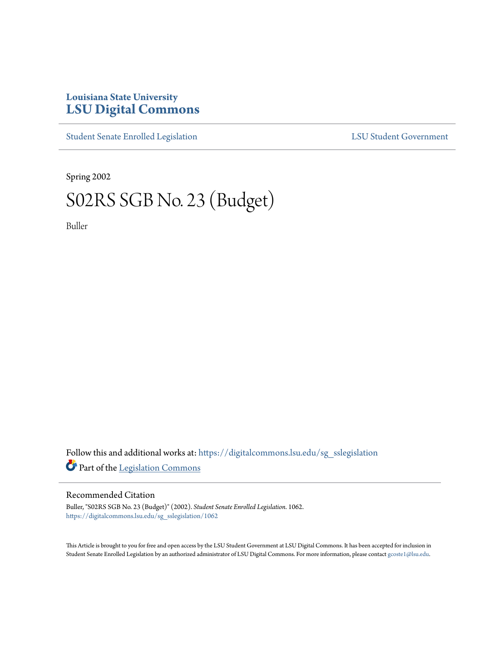## **Louisiana State University [LSU Digital Commons](https://digitalcommons.lsu.edu?utm_source=digitalcommons.lsu.edu%2Fsg_sslegislation%2F1062&utm_medium=PDF&utm_campaign=PDFCoverPages)**

[Student Senate Enrolled Legislation](https://digitalcommons.lsu.edu/sg_sslegislation?utm_source=digitalcommons.lsu.edu%2Fsg_sslegislation%2F1062&utm_medium=PDF&utm_campaign=PDFCoverPages) [LSU Student Government](https://digitalcommons.lsu.edu/sg?utm_source=digitalcommons.lsu.edu%2Fsg_sslegislation%2F1062&utm_medium=PDF&utm_campaign=PDFCoverPages)

Spring 2002

## S02RS SGB No. 23 (Budget)

Buller

Follow this and additional works at: [https://digitalcommons.lsu.edu/sg\\_sslegislation](https://digitalcommons.lsu.edu/sg_sslegislation?utm_source=digitalcommons.lsu.edu%2Fsg_sslegislation%2F1062&utm_medium=PDF&utm_campaign=PDFCoverPages) Part of the [Legislation Commons](http://network.bepress.com/hgg/discipline/859?utm_source=digitalcommons.lsu.edu%2Fsg_sslegislation%2F1062&utm_medium=PDF&utm_campaign=PDFCoverPages)

## Recommended Citation

Buller, "S02RS SGB No. 23 (Budget)" (2002). *Student Senate Enrolled Legislation*. 1062. [https://digitalcommons.lsu.edu/sg\\_sslegislation/1062](https://digitalcommons.lsu.edu/sg_sslegislation/1062?utm_source=digitalcommons.lsu.edu%2Fsg_sslegislation%2F1062&utm_medium=PDF&utm_campaign=PDFCoverPages)

This Article is brought to you for free and open access by the LSU Student Government at LSU Digital Commons. It has been accepted for inclusion in Student Senate Enrolled Legislation by an authorized administrator of LSU Digital Commons. For more information, please contact [gcoste1@lsu.edu.](mailto:gcoste1@lsu.edu)